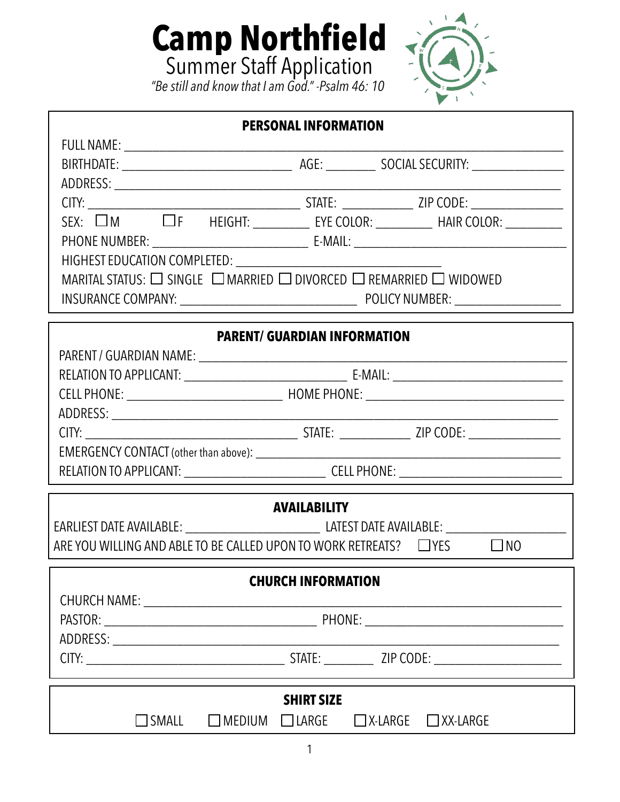

| <b>PERSONAL INFORMATION</b>                                                                         |  |  |  |  |  |
|-----------------------------------------------------------------------------------------------------|--|--|--|--|--|
|                                                                                                     |  |  |  |  |  |
|                                                                                                     |  |  |  |  |  |
|                                                                                                     |  |  |  |  |  |
|                                                                                                     |  |  |  |  |  |
| SEX: $\overline{\Box}$ M $\Box$ F HEIGHT: __________ EYE COLOR: _________ HAIR COLOR: ________      |  |  |  |  |  |
|                                                                                                     |  |  |  |  |  |
|                                                                                                     |  |  |  |  |  |
| MARITAL STATUS: □ SINGLE □ MARRIED □ DIVORCED □ REMARRIED □ WIDOWED                                 |  |  |  |  |  |
|                                                                                                     |  |  |  |  |  |
| <b>PARENT/ GUARDIAN INFORMATION</b>                                                                 |  |  |  |  |  |
|                                                                                                     |  |  |  |  |  |
|                                                                                                     |  |  |  |  |  |
|                                                                                                     |  |  |  |  |  |
|                                                                                                     |  |  |  |  |  |
|                                                                                                     |  |  |  |  |  |
|                                                                                                     |  |  |  |  |  |
| RELATION TO APPLICANT: ___________________________________CELL PHONE: _____________________________ |  |  |  |  |  |
| <b>AVAILABILITY</b>                                                                                 |  |  |  |  |  |
|                                                                                                     |  |  |  |  |  |
| ARE YOU WILLING AND ABLE TO BE CALLED UPON TO WORK RETREATS? $\Box$ YES<br>$\Box$ NO                |  |  |  |  |  |
|                                                                                                     |  |  |  |  |  |
| <b>CHURCH INFORMATION</b>                                                                           |  |  |  |  |  |
|                                                                                                     |  |  |  |  |  |
|                                                                                                     |  |  |  |  |  |
|                                                                                                     |  |  |  |  |  |
|                                                                                                     |  |  |  |  |  |
| <b>SHIRT SIZE</b>                                                                                   |  |  |  |  |  |
| $\Box$ MEDIUM $\Box$ LARGE<br>$\Box$ SMALL<br>$\Box$ X-LARGE<br>$\Box$ XX-LARGE                     |  |  |  |  |  |

**Camp Northfield**

Summer Staff Application

*"Be still and know that I am God." -Psalm 46: 10*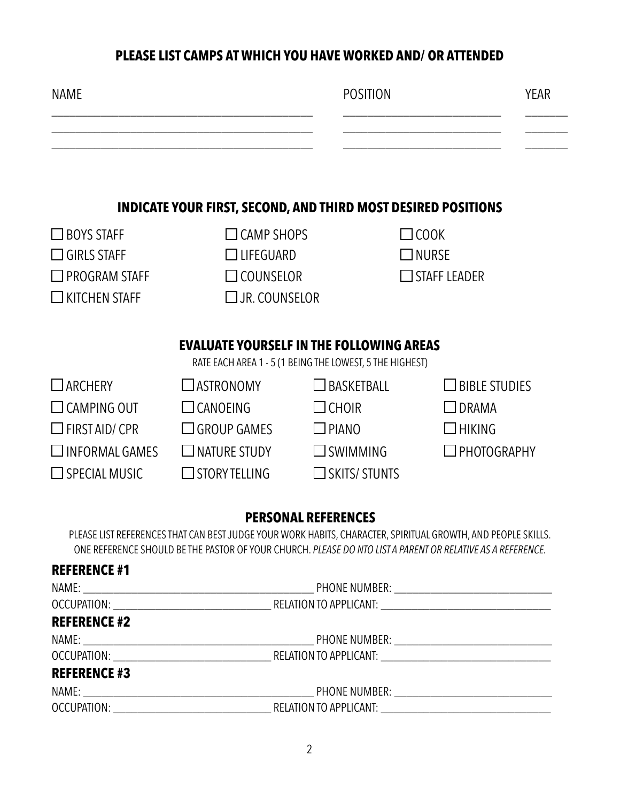## **PLEASE LIST CAMPS AT WHICH YOU HAVE WORKED AND/ OR ATTENDED**

| <b>NAME</b>           |                                                                                                                                                                                                                                     | <b>POSITION</b>                                          | <b>YEAR</b>                                                                                                                                                                                                                |
|-----------------------|-------------------------------------------------------------------------------------------------------------------------------------------------------------------------------------------------------------------------------------|----------------------------------------------------------|----------------------------------------------------------------------------------------------------------------------------------------------------------------------------------------------------------------------------|
|                       |                                                                                                                                                                                                                                     |                                                          |                                                                                                                                                                                                                            |
|                       | <b>INDICATE YOUR FIRST, SECOND, AND THIRD MOST DESIRED POSITIONS</b>                                                                                                                                                                |                                                          |                                                                                                                                                                                                                            |
| $\square$ BOYS STAFF  | $\Box$ CAMP SHOPS                                                                                                                                                                                                                   |                                                          | $\Box$ COOK                                                                                                                                                                                                                |
| $\square$ GIRLS STAFF | $\Box$ LIFEGUARD                                                                                                                                                                                                                    |                                                          | $\square$ nurse                                                                                                                                                                                                            |
| <b>PROGRAM STAFF</b>  | $\Box$ COUNSELOR                                                                                                                                                                                                                    |                                                          | $\Box$ STAFF LEADER                                                                                                                                                                                                        |
| <b>KITCHEN STAFF</b>  | $\square$ Jr. counselor                                                                                                                                                                                                             |                                                          |                                                                                                                                                                                                                            |
|                       | <b>EVALUATE YOURSELF IN THE FOLLOWING AREAS</b>                                                                                                                                                                                     |                                                          |                                                                                                                                                                                                                            |
|                       |                                                                                                                                                                                                                                     | RATE EACH AREA 1 - 5 (1 BEING THE LOWEST, 5 THE HIGHEST) |                                                                                                                                                                                                                            |
| $\Box$ ARCHERY        | $\Box$ ASTRONOMY                                                                                                                                                                                                                    | $\Box$ BASKETBALL                                        | $\square$ BIBLE STUDIES                                                                                                                                                                                                    |
| $\Box$ CAMPING OUT    | $\Box$ CANOEING                                                                                                                                                                                                                     | $\square$ CHOIR                                          | $\Box$ DRAMA                                                                                                                                                                                                               |
| $\Box$ FIRST AID/ CPR | $\Box$ GROUP GAMES                                                                                                                                                                                                                  | $\square$ PIANO                                          | $\square$ HIKING                                                                                                                                                                                                           |
| $\Box$ INFORMAL GAMES | $\Box$ NATURE STUDY                                                                                                                                                                                                                 | $\Box$ SWIMMING                                          | $\Box$ PHOTOGRAPHY                                                                                                                                                                                                         |
| $\Box$ SPECIAL MUSIC  | $\Box$ STORY TELLING                                                                                                                                                                                                                | $\Box$ SKITS/ STUNTS                                     |                                                                                                                                                                                                                            |
|                       |                                                                                                                                                                                                                                     | <b>PERSONAL REFERENCES</b>                               |                                                                                                                                                                                                                            |
|                       |                                                                                                                                                                                                                                     |                                                          | PLEASE LIST REFERENCES THAT CAN BEST JUDGE YOUR WORK HABITS, CHARACTER, SPIRITUAL GROWTH, AND PEOPLE SKILLS.<br>ONE REFERENCE SHOULD BE THE PASTOR OF YOUR CHURCH. PLEASE DO NTO LIST A PARENT OR RELATIVE AS A REFERENCE. |
| <b>REFERENCE #1</b>   |                                                                                                                                                                                                                                     |                                                          |                                                                                                                                                                                                                            |
|                       |                                                                                                                                                                                                                                     |                                                          |                                                                                                                                                                                                                            |
|                       |                                                                                                                                                                                                                                     |                                                          |                                                                                                                                                                                                                            |
| <b>REFERENCE #2</b>   |                                                                                                                                                                                                                                     |                                                          |                                                                                                                                                                                                                            |
|                       |                                                                                                                                                                                                                                     |                                                          |                                                                                                                                                                                                                            |
|                       | <b>REFERENCE #3</b> and a set of the set of the set of the set of the set of the set of the set of the set of the set of the set of the set of the set of the set of the set of the set of the set of the set of the set of the set |                                                          |                                                                                                                                                                                                                            |

# NAME: \_\_\_\_\_\_\_\_\_\_\_\_\_\_\_\_\_\_\_\_\_\_\_\_\_\_\_\_\_\_\_\_\_\_\_\_\_\_ PHONE NUMBER: \_\_\_\_\_\_\_\_\_\_\_\_\_\_\_\_\_\_\_\_\_\_\_\_\_\_ OCCUPATION: \_\_\_\_\_\_\_\_\_\_\_\_\_\_\_\_\_\_\_\_\_\_\_\_\_\_ RELATION TO APPLICANT: \_\_\_\_\_\_\_\_\_\_\_\_\_\_\_\_\_\_\_\_\_\_\_\_\_\_\_\_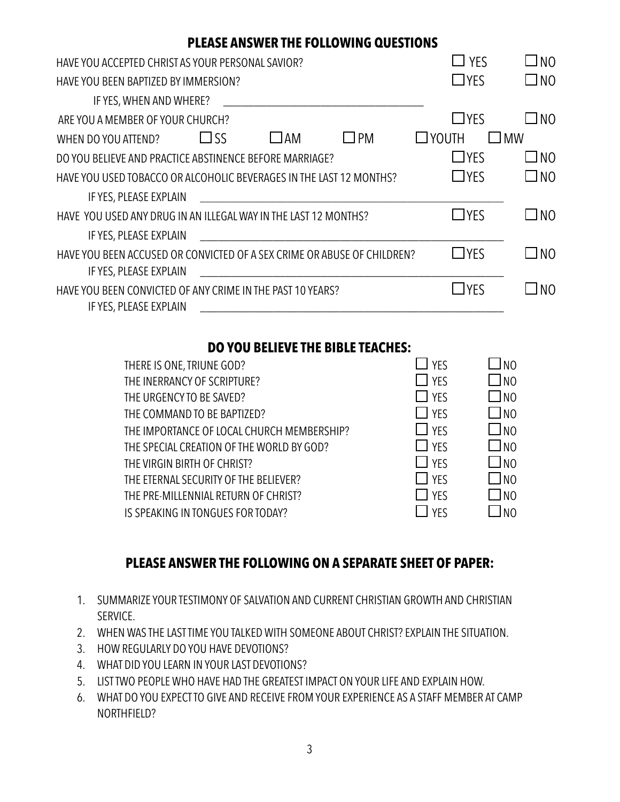### **PLEASE ANSWER THE FOLLOWING QUESTIONS**

| HAVE YOU ACCEPTED CHRIST AS YOUR PERSONAL SAVIOR?                       | $\Box$ yes      | N <sub>O</sub> |
|-------------------------------------------------------------------------|-----------------|----------------|
| HAVE YOU BEEN BAPTIZED BY IMMERSION?                                    | $\Box$ YES      | $\Box$ NO      |
| IF YES, WHEN AND WHERE?                                                 |                 |                |
| ARE YOU A MEMBER OF YOUR CHURCH?                                        | $\Box$ YES      | N <sub>0</sub> |
| $\Box$ SS<br>$\Box$ PM<br>JAM<br>WHEN DO YOU ATTEND?                    | $\square$ YOUTH | <b>MW</b>      |
| DO YOU BELIEVE AND PRACTICE ABSTINENCE BEFORE MARRIAGE?                 | $\Box$ YES      | N <sub>0</sub> |
| HAVE YOU USED TOBACCO OR ALCOHOLIC BEVERAGES IN THE LAST 12 MONTHS?     | $\Box$ YES      | $\square$ NO   |
| IF YES, PLEASE EXPLAIN                                                  |                 |                |
| HAVE YOU USED ANY DRUG IN AN ILLEGAL WAY IN THE LAST 12 MONTHS?         | $\Box$ YES      | N <sub>O</sub> |
| IF YES, PLEASE EXPLAIN                                                  |                 |                |
| HAVE YOU BEEN ACCUSED OR CONVICTED OF A SEX CRIME OR ABUSE OF CHILDREN? | $\Box$ YES      | $\Box$ NO      |
| IF YES, PLEASE EXPLAIN                                                  |                 |                |
| HAVE YOU BEEN CONVICTED OF ANY CRIME IN THE PAST 10 YEARS?              | $\Box$ YFS      | N <sub>O</sub> |
| IF YES, PLEASE EXPLAIN                                                  |                 |                |

### **DO YOU BELIEVE THE BIBLE TEACHES:**

| THERE IS ONE, TRIUNE GOD?                  | $\Box$ YFS        | N <sub>0</sub>  |
|--------------------------------------------|-------------------|-----------------|
| THE INERRANCY OF SCRIPTURE?                | $\Box$ YFS        | J NO            |
| THE URGENCY TO BE SAVED?                   | YFS               | J NO            |
| THE COMMAND TO BE BAPTIZED?                | $\Box$ YFS        | Ino             |
| THE IMPORTANCE OF LOCAL CHURCH MEMBERSHIP? | $\Box$ YFS        | JNO             |
| THE SPECIAL CREATION OF THE WORLD BY GOD?  | $\vert \vert$ YFS | J <sub>NO</sub> |
| THE VIRGIN BIRTH OF CHRIST?                | $\Box$ YFS        | I NO            |
| THE ETERNAL SECURITY OF THE BELIEVER?      | $\Box$ YFS        | I NO            |
| THE PRE-MILLENNIAL RETURN OF CHRIST?       | $\top$ YFS        | Ino             |
| IS SPEAKING IN TONGUES FOR TODAY?          | <b>YFS</b>        | N <sub>0</sub>  |
|                                            |                   |                 |

### **PLEASE ANSWER THE FOLLOWING ON A SEPARATE SHEET OF PAPER:**

- 1. SUMMARIZE YOUR TESTIMONY OF SALVATION AND CURRENT CHRISTIAN GROWTH AND CHRISTIAN SERVICE.
- 2. WHEN WAS THE LAST TIME YOU TALKED WITH SOMEONE ABOUT CHRIST? EXPLAIN THE SITUATION.
- 3. HOW REGULARLY DO YOU HAVE DEVOTIONS?
- 4. WHAT DID YOU LEARN IN YOUR LAST DEVOTIONS?
- 5. LIST TWO PEOPLE WHO HAVE HAD THE GREATEST IMPACT ON YOUR LIFE AND EXPLAIN HOW.
- 6. WHAT DO YOU EXPECT TO GIVE AND RECEIVE FROM YOUR EXPERIENCE AS A STAFF MEMBER AT CAMP NORTHFIELD?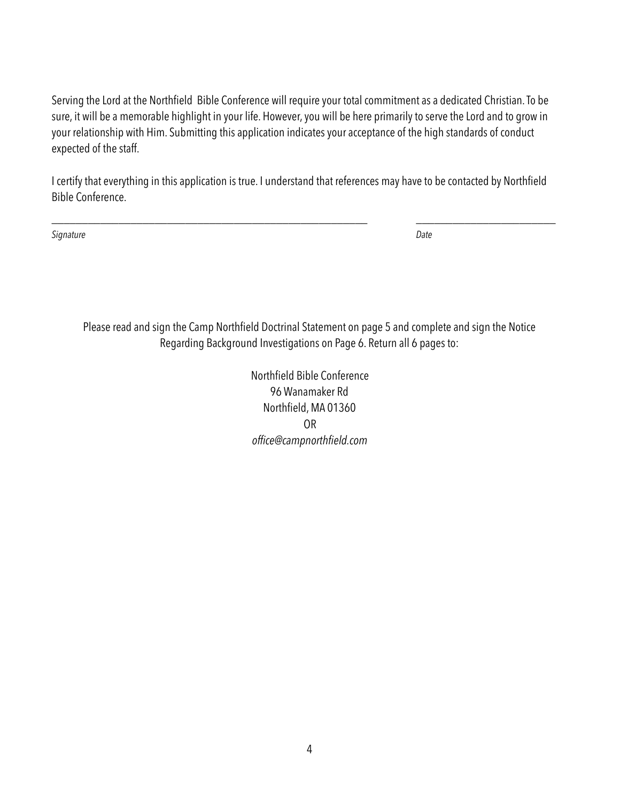Serving the Lord at the Northfield Bible Conference will require your total commitment as a dedicated Christian. To be sure, it will be a memorable highlight in your life. However, you will be here primarily to serve the Lord and to grow in your relationship with Him. Submitting this application indicates your acceptance of the high standards of conduct expected of the staff.

I certify that everything in this application is true. I understand that references may have to be contacted by Northfield Bible Conference.

\_\_\_\_\_\_\_\_\_\_\_\_\_\_\_\_\_\_\_\_\_\_\_\_\_\_\_\_\_\_\_\_\_\_\_\_\_\_\_\_\_\_\_\_\_\_\_\_\_\_\_\_ \_\_\_\_\_\_\_\_\_\_\_\_\_\_\_\_\_\_\_\_\_\_\_

*Signature Date*

Please read and sign the Camp Northfield Doctrinal Statement on page 5 and complete and sign the Notice Regarding Background Investigations on Page 6. Return all 6 pages to:

> Northfield Bible Conference 96 Wanamaker Rd Northfield, MA 01360 OR *office@campnorthfield.com*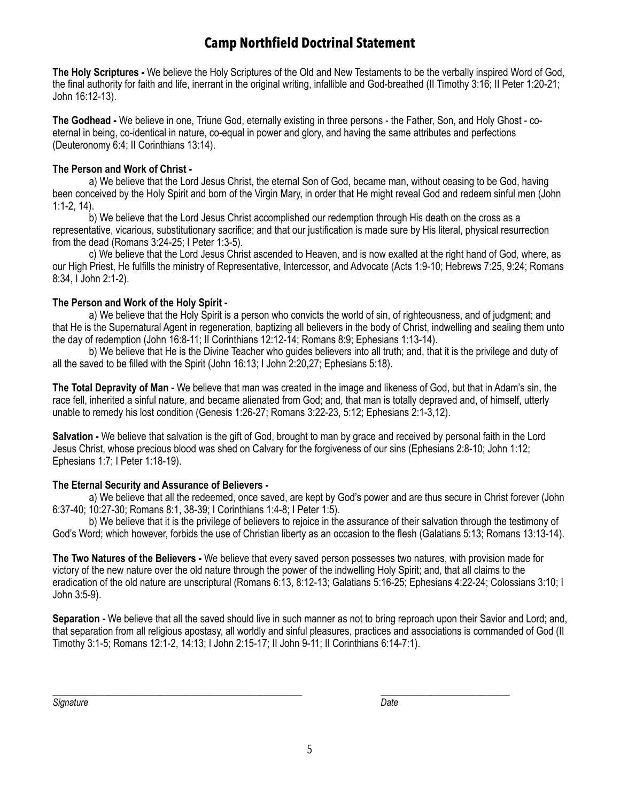## **Camp Northfield Doctrinal Statement**

**The Holy Scriptures -** We believe the Holy Scriptures of the Old and New Testaments to be the verbally inspired Word of God, the final authority for faith and life, inerrant in the original writing, infallible and God-breathed (II Timothy 3:16; II Peter 1:20-21; John 16:12-13).

**The Godhead -** We believe in one, Triune God, eternally existing in three persons - the Father, Son, and Holy Ghost - coeternal in being, co-identical in nature, co-equal in power and glory, and having the same attributes and perfections (Deuteronomy 6:4; II Corinthians 13:14).

#### **The Person and Work of Christ -**

 a) We believe that the Lord Jesus Christ, the eternal Son of God, became man, without ceasing to be God, having been conceived by the Holy Spirit and born of the Virgin Mary, in order that He might reveal God and redeem sinful men (John 1:1-2, 14).

 b) We believe that the Lord Jesus Christ accomplished our redemption through His death on the cross as a representative, vicarious, substitutionary sacrifice; and that our justification is made sure by His literal, physical resurrection from the dead (Romans 3:24-25; I Peter 1:3-5).

 c) We believe that the Lord Jesus Christ ascended to Heaven, and is now exalted at the right hand of God, where, as our High Priest, He fulfills the ministry of Representative, Intercessor, and Advocate (Acts 1:9-10; Hebrews 7:25, 9:24; Romans 8:34, I John 2:1-2).

#### **The Person and Work of the Holy Spirit -**

 a) We believe that the Holy Spirit is a person who convicts the world of sin, of righteousness, and of judgment; and that He is the Supernatural Agent in regeneration, baptizing all believers in the body of Christ, indwelling and sealing them unto the day of redemption (John 16:8-11; II Corinthians 12:12-14; Romans 8:9; Ephesians 1:13-14).

 b) We believe that He is the Divine Teacher who guides believers into all truth; and, that it is the privilege and duty of all the saved to be filled with the Spirit (John 16:13; I John 2:20,27; Ephesians 5:18).

**The Total Depravity of Man -** We believe that man was created in the image and likeness of God, but that in Adam's sin, the race fell, inherited a sinful nature, and became alienated from God; and, that man is totally depraved and, of himself, utterly unable to remedy his lost condition (Genesis 1:26-27; Romans 3:22-23, 5:12; Ephesians 2:1-3,12).

**Salvation -** We believe that salvation is the gift of God, brought to man by grace and received by personal faith in the Lord Jesus Christ, whose precious blood was shed on Calvary for the forgiveness of our sins (Ephesians 2:8-10; John 1:12; Ephesians 1:7; I Peter 1:18-19).

#### **The Eternal Security and Assurance of Believers -**

 a) We believe that all the redeemed, once saved, are kept by God's power and are thus secure in Christ forever (John 6:37-40; 10:27-30; Romans 8:1, 38-39; I Corinthians 1:4-8; I Peter 1:5).

 b) We believe that it is the privilege of believers to rejoice in the assurance of their salvation through the testimony of God's Word; which however, forbids the use of Christian liberty as an occasion to the flesh (Galatians 5:13; Romans 13:13-14).

**The Two Natures of the Believers -** We believe that every saved person possesses two natures, with provision made for victory of the new nature over the old nature through the power of the indwelling Holy Spirit; and, that all claims to the eradication of the old nature are unscriptural (Romans 6:13, 8:12-13; Galatians 5:16-25; Ephesians 4:22-24; Colossians 3:10; I John 3:5-9).

**Separation -** We believe that all the saved should live in such manner as not to bring reproach upon their Savior and Lord; and, that separation from all religious apostasy, all worldly and sinful pleasures, practices and associations is commanded of God (II Timothy 3:1-5; Romans 12:1-2, 14:13; I John 2:15-17; II John 9-11; II Corinthians 6:14-7:1).

**Signature** Date

*\_\_\_\_\_\_\_\_\_\_\_\_\_\_\_\_\_\_\_\_\_\_\_\_\_\_\_\_\_\_\_\_\_\_\_\_\_\_\_\_\_\_\_\_\_\_\_\_\_\_\_\_\_\_ \_\_\_\_\_\_\_\_\_\_\_\_\_\_\_\_\_\_\_\_\_\_\_\_\_\_\_\_*